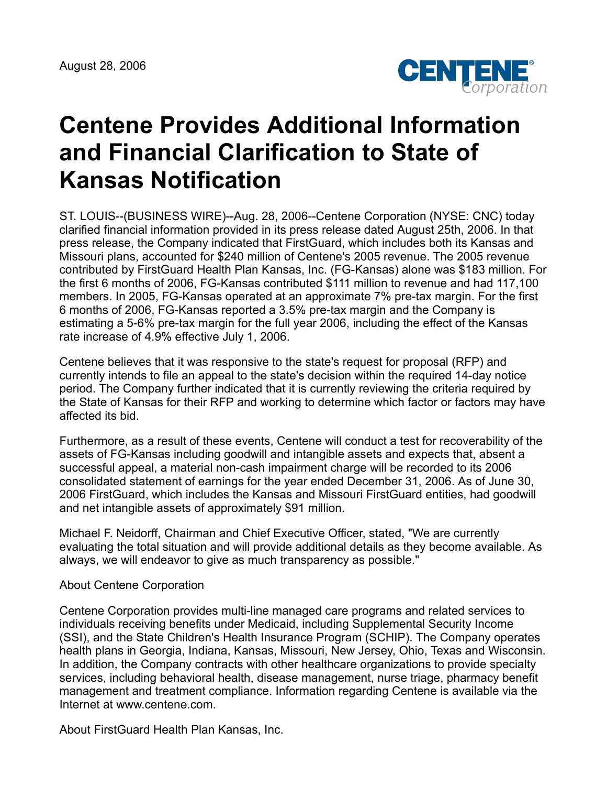August 28, 2006



## **Centene Provides Additional Information and Financial Clarification to State of Kansas Notification**

ST. LOUIS--(BUSINESS WIRE)--Aug. 28, 2006--Centene Corporation (NYSE: CNC) today clarified financial information provided in its press release dated August 25th, 2006. In that press release, the Company indicated that FirstGuard, which includes both its Kansas and Missouri plans, accounted for \$240 million of Centene's 2005 revenue. The 2005 revenue contributed by FirstGuard Health Plan Kansas, Inc. (FG-Kansas) alone was \$183 million. For the first 6 months of 2006, FG-Kansas contributed \$111 million to revenue and had 117,100 members. In 2005, FG-Kansas operated at an approximate 7% pre-tax margin. For the first 6 months of 2006, FG-Kansas reported a 3.5% pre-tax margin and the Company is estimating a 5-6% pre-tax margin for the full year 2006, including the effect of the Kansas rate increase of 4.9% effective July 1, 2006.

Centene believes that it was responsive to the state's request for proposal (RFP) and currently intends to file an appeal to the state's decision within the required 14-day notice period. The Company further indicated that it is currently reviewing the criteria required by the State of Kansas for their RFP and working to determine which factor or factors may have affected its bid.

Furthermore, as a result of these events, Centene will conduct a test for recoverability of the assets of FG-Kansas including goodwill and intangible assets and expects that, absent a successful appeal, a material non-cash impairment charge will be recorded to its 2006 consolidated statement of earnings for the year ended December 31, 2006. As of June 30, 2006 FirstGuard, which includes the Kansas and Missouri FirstGuard entities, had goodwill and net intangible assets of approximately \$91 million.

Michael F. Neidorff, Chairman and Chief Executive Officer, stated, "We are currently evaluating the total situation and will provide additional details as they become available. As always, we will endeavor to give as much transparency as possible."

## About Centene Corporation

Centene Corporation provides multi-line managed care programs and related services to individuals receiving benefits under Medicaid, including Supplemental Security Income (SSI), and the State Children's Health Insurance Program (SCHIP). The Company operates health plans in Georgia, Indiana, Kansas, Missouri, New Jersey, Ohio, Texas and Wisconsin. In addition, the Company contracts with other healthcare organizations to provide specialty services, including behavioral health, disease management, nurse triage, pharmacy benefit management and treatment compliance. Information regarding Centene is available via the Internet at www.centene.com.

About FirstGuard Health Plan Kansas, Inc.